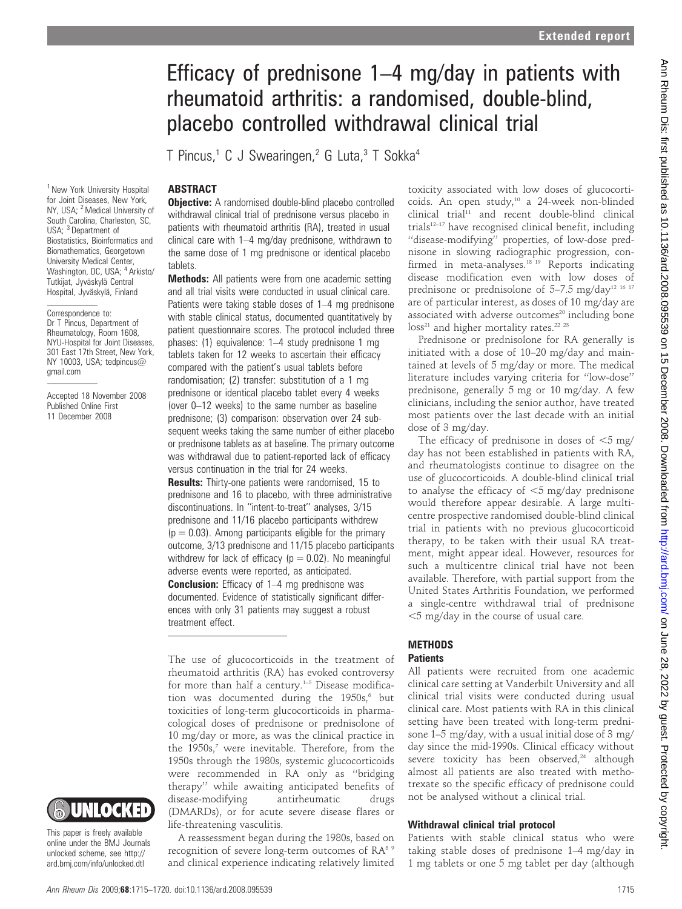# Efficacy of prednisone 1–4 mg/day in patients with rheumatoid arthritis: a randomised, double-blind, placebo controlled withdrawal clinical trial

T Pincus,<sup>1</sup> C J Swearingen,<sup>2</sup> G Luta,<sup>3</sup> T Sokka<sup>4</sup>

# **ABSTRACT**

<sup>1</sup> New York University Hospital for Joint Diseases, New York, NY, USA; <sup>2</sup> Medical University of South Carolina, Charleston, SC, USA: <sup>3</sup> Department of Biostatistics, Bioinformatics and Biomathematics, Georgetown University Medical Center, Washington, DC, USA; <sup>4</sup> Arkisto/ Tutkijat, Jyväskylä Central Hospital, Jyväskylä, Finland

Correspondence to: Dr T Pincus, Department of Rheumatology, Room 1608, NYU-Hospital for Joint Diseases, 301 East 17th Street, New York, NY 10003, USA; tedpincus@ gmail.com

Accepted 18 November 2008 Published Online First 11 December 2008

**Objective:** A randomised double-blind placebo controlled withdrawal clinical trial of prednisone versus placebo in patients with rheumatoid arthritis (RA), treated in usual clinical care with 1–4 mg/day prednisone, withdrawn to the same dose of 1 mg prednisone or identical placebo tablets.

Methods: All patients were from one academic setting and all trial visits were conducted in usual clinical care. Patients were taking stable doses of 1–4 mg prednisone with stable clinical status, documented quantitatively by patient questionnaire scores. The protocol included three phases: (1) equivalence: 1–4 study prednisone 1 mg tablets taken for 12 weeks to ascertain their efficacy compared with the patient's usual tablets before randomisation; (2) transfer: substitution of a 1 mg prednisone or identical placebo tablet every 4 weeks (over 0–12 weeks) to the same number as baseline prednisone; (3) comparison: observation over 24 subsequent weeks taking the same number of either placebo or prednisone tablets as at baseline. The primary outcome was withdrawal due to patient-reported lack of efficacy versus continuation in the trial for 24 weeks.

**Results:** Thirty-one patients were randomised, 15 to prednisone and 16 to placebo, with three administrative discontinuations. In ''intent-to-treat'' analyses, 3/15 prednisone and 11/16 placebo participants withdrew  $(p = 0.03)$ . Among participants eligible for the primary outcome, 3/13 prednisone and 11/15 placebo participants withdrew for lack of efficacy ( $p = 0.02$ ). No meaningful adverse events were reported, as anticipated. **Conclusion:** Efficacy of 1–4 mg prednisone was documented. Evidence of statistically significant differences with only 31 patients may suggest a robust

treatment effect.

The use of glucocorticoids in the treatment of rheumatoid arthritis (RA) has evoked controversy for more than half a century.<sup>1-5</sup> Disease modification was documented during the  $1950s$ ,<sup>6</sup> but toxicities of long-term glucocorticoids in pharmacological doses of prednisone or prednisolone of 10 mg/day or more, as was the clinical practice in the 1950s,<sup>7</sup> were inevitable. Therefore, from the 1950s through the 1980s, systemic glucocorticoids were recommended in RA only as ''bridging therapy'' while awaiting anticipated benefits of disease-modifying antirheumatic drugs (DMARDs), or for acute severe disease flares or life-threatening vasculitis.

A reassessment began during the 1980s, based on recognition of severe long-term outcomes of RA<sup>89</sup> and clinical experience indicating relatively limited

toxicity associated with low doses of glucocorticoids. An open study,10 a 24-week non-blinded clinical trial<sup>11</sup> and recent double-blind clinical trials $12-17$  have recognised clinical benefit, including ''disease-modifying'' properties, of low-dose prednisone in slowing radiographic progression, confirmed in meta-analyses.<sup>18 19</sup> Reports indicating disease modification even with low doses of prednisone or prednisolone of 5-7.5 mg/day<sup>12 16 17</sup> are of particular interest, as doses of 10 mg/day are associated with adverse outcomes<sup>20</sup> including bone  $loss<sup>21</sup>$  and higher mortality rates.<sup>22 23</sup>

Prednisone or prednisolone for RA generally is initiated with a dose of 10–20 mg/day and maintained at levels of 5 mg/day or more. The medical literature includes varying criteria for ''low-dose'' prednisone, generally 5 mg or 10 mg/day. A few clinicians, including the senior author, have treated most patients over the last decade with an initial dose of 3 mg/day.

The efficacy of prednisone in doses of  $\leq$ 5 mg/ day has not been established in patients with RA, and rheumatologists continue to disagree on the use of glucocorticoids. A double-blind clinical trial to analyse the efficacy of  $<$ 5 mg/day prednisone would therefore appear desirable. A large multicentre prospective randomised double-blind clinical trial in patients with no previous glucocorticoid therapy, to be taken with their usual RA treatment, might appear ideal. However, resources for such a multicentre clinical trial have not been available. Therefore, with partial support from the United States Arthritis Foundation, we performed a single-centre withdrawal trial of prednisone  $<$  5 mg/day in the course of usual care.

# **METHODS**

# **Patients**

All patients were recruited from one academic clinical care setting at Vanderbilt University and all clinical trial visits were conducted during usual clinical care. Most patients with RA in this clinical setting have been treated with long-term prednisone 1–5 mg/day, with a usual initial dose of 3 mg/ day since the mid-1990s. Clinical efficacy without severe toxicity has been observed, $24$  although almost all patients are also treated with methotrexate so the specific efficacy of prednisone could not be analysed without a clinical trial.

## Withdrawal clinical trial protocol

Patients with stable clinical status who were taking stable doses of prednisone 1–4 mg/day in 1 mg tablets or one 5 mg tablet per day (although



**& UNLOCKED** 

unlocked scheme, see http:// ard.bmj.com/info/unlocked.dtl

Ann Rheum Dis 2009:68:1715–1720. doi:10.1136/ard.2008.095539 1715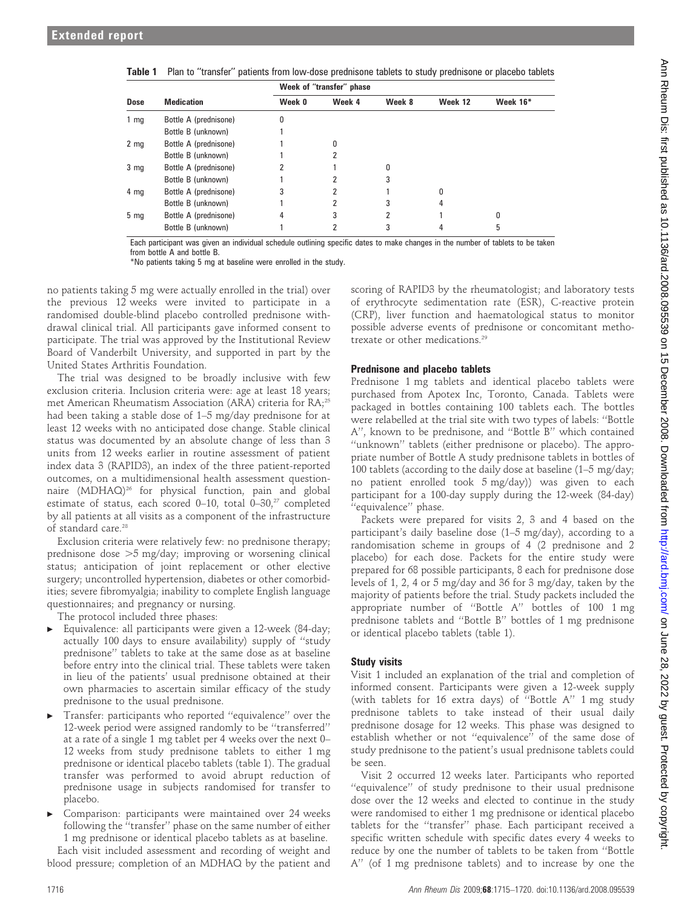|                  |                       | Week of "transfer" phase |        |        |         |          |  |  |
|------------------|-----------------------|--------------------------|--------|--------|---------|----------|--|--|
| Dose             | <b>Medication</b>     | Week 0                   | Week 4 | Week 8 | Week 12 | Week 16* |  |  |
| $1 \, \text{mg}$ | Bottle A (prednisone) | 0                        |        |        |         |          |  |  |
|                  | Bottle B (unknown)    |                          |        |        |         |          |  |  |
| 2 <sub>mg</sub>  | Bottle A (prednisone) |                          | 0      |        |         |          |  |  |
|                  | Bottle B (unknown)    |                          |        |        |         |          |  |  |
| 3 <sub>mg</sub>  | Bottle A (prednisone) |                          |        | ŋ      |         |          |  |  |
|                  | Bottle B (unknown)    |                          |        |        |         |          |  |  |
| $4 \, \text{mg}$ | Bottle A (prednisone) | 3                        |        |        | 0       |          |  |  |
|                  | Bottle B (unknown)    |                          |        |        | 4       |          |  |  |
| 5 <sub>mg</sub>  | Bottle A (prednisone) | 4                        | 3      | 2      |         | ŋ        |  |  |
|                  | Bottle B (unknown)    |                          |        | 3      |         | 5        |  |  |

|  |  |  |  |  |  |  |  |  |  | Table 1 Plan to "transfer" patients from low-dose prednisone tablets to study prednisone or placebo tablets |  |
|--|--|--|--|--|--|--|--|--|--|-------------------------------------------------------------------------------------------------------------|--|
|--|--|--|--|--|--|--|--|--|--|-------------------------------------------------------------------------------------------------------------|--|

Each participant was given an individual schedule outlining specific dates to make changes in the number of tablets to be taken

from bottle A and bottle B.

\*No patients taking 5 mg at baseline were enrolled in the study.

no patients taking 5 mg were actually enrolled in the trial) over the previous 12 weeks were invited to participate in a randomised double-blind placebo controlled prednisone withdrawal clinical trial. All participants gave informed consent to participate. The trial was approved by the Institutional Review Board of Vanderbilt University, and supported in part by the United States Arthritis Foundation.

The trial was designed to be broadly inclusive with few exclusion criteria. Inclusion criteria were: age at least 18 years; met American Rheumatism Association (ARA) criteria for RA;<sup>25</sup> had been taking a stable dose of 1–5 mg/day prednisone for at least 12 weeks with no anticipated dose change. Stable clinical status was documented by an absolute change of less than 3 units from 12 weeks earlier in routine assessment of patient index data 3 (RAPID3), an index of the three patient-reported outcomes, on a multidimensional health assessment questionnaire (MDHAQ)<sup>26</sup> for physical function, pain and global estimate of status, each scored 0–10, total 0–30, $27$  completed by all patients at all visits as a component of the infrastructure of standard care.<sup>28</sup>

Exclusion criteria were relatively few: no prednisone therapy; prednisone dose  $>5$  mg/day; improving or worsening clinical status; anticipation of joint replacement or other elective surgery; uncontrolled hypertension, diabetes or other comorbidities; severe fibromyalgia; inability to complete English language questionnaires; and pregnancy or nursing.

The protocol included three phases:

- Equivalence: all participants were given a 12-week (84-day; actually 100 days to ensure availability) supply of ''study prednisone'' tablets to take at the same dose as at baseline before entry into the clinical trial. These tablets were taken in lieu of the patients' usual prednisone obtained at their own pharmacies to ascertain similar efficacy of the study prednisone to the usual prednisone.
- Transfer: participants who reported "equivalence" over the 12-week period were assigned randomly to be ''transferred'' at a rate of a single 1 mg tablet per 4 weeks over the next 0– 12 weeks from study prednisone tablets to either 1 mg prednisone or identical placebo tablets (table 1). The gradual transfer was performed to avoid abrupt reduction of prednisone usage in subjects randomised for transfer to placebo.
- c Comparison: participants were maintained over 24 weeks following the ''transfer'' phase on the same number of either 1 mg prednisone or identical placebo tablets as at baseline.

Each visit included assessment and recording of weight and blood pressure; completion of an MDHAQ by the patient and

scoring of RAPID3 by the rheumatologist; and laboratory tests of erythrocyte sedimentation rate (ESR), C-reactive protein (CRP), liver function and haematological status to monitor possible adverse events of prednisone or concomitant methotrexate or other medications.<sup>29</sup>

## Prednisone and placebo tablets

Prednisone 1 mg tablets and identical placebo tablets were purchased from Apotex Inc, Toronto, Canada. Tablets were packaged in bottles containing 100 tablets each. The bottles were relabelled at the trial site with two types of labels: ''Bottle A'', known to be prednisone, and ''Bottle B'' which contained ''unknown'' tablets (either prednisone or placebo). The appropriate number of Bottle A study prednisone tablets in bottles of 100 tablets (according to the daily dose at baseline (1–5 mg/day; no patient enrolled took 5 mg/day)) was given to each participant for a 100-day supply during the 12-week (84-day) ''equivalence'' phase.

Packets were prepared for visits 2, 3 and 4 based on the participant's daily baseline dose (1–5 mg/day), according to a randomisation scheme in groups of 4 (2 prednisone and 2 placebo) for each dose. Packets for the entire study were prepared for 68 possible participants, 8 each for prednisone dose levels of 1, 2, 4 or 5 mg/day and 36 for 3 mg/day, taken by the majority of patients before the trial. Study packets included the appropriate number of ''Bottle A'' bottles of 100 1 mg prednisone tablets and ''Bottle B'' bottles of 1 mg prednisone or identical placebo tablets (table 1).

# Study visits

Visit 1 included an explanation of the trial and completion of informed consent. Participants were given a 12-week supply (with tablets for 16 extra days) of ''Bottle A'' 1 mg study prednisone tablets to take instead of their usual daily prednisone dosage for 12 weeks. This phase was designed to establish whether or not ''equivalence'' of the same dose of study prednisone to the patient's usual prednisone tablets could be seen.

Visit 2 occurred 12 weeks later. Participants who reported ''equivalence'' of study prednisone to their usual prednisone dose over the 12 weeks and elected to continue in the study were randomised to either 1 mg prednisone or identical placebo tablets for the ''transfer'' phase. Each participant received a specific written schedule with specific dates every 4 weeks to reduce by one the number of tablets to be taken from ''Bottle A'' (of 1 mg prednisone tablets) and to increase by one the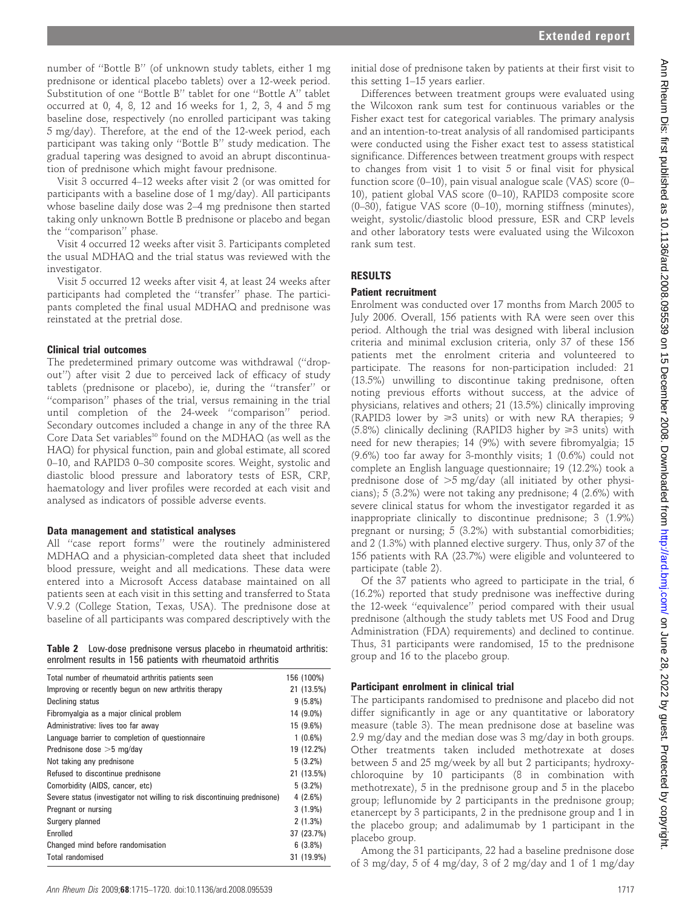number of ''Bottle B'' (of unknown study tablets, either 1 mg prednisone or identical placebo tablets) over a 12-week period. Substitution of one ''Bottle B'' tablet for one ''Bottle A'' tablet occurred at 0, 4, 8, 12 and 16 weeks for 1, 2, 3, 4 and 5 mg baseline dose, respectively (no enrolled participant was taking 5 mg/day). Therefore, at the end of the 12-week period, each participant was taking only ''Bottle B'' study medication. The gradual tapering was designed to avoid an abrupt discontinuation of prednisone which might favour prednisone.

Visit 3 occurred 4–12 weeks after visit 2 (or was omitted for participants with a baseline dose of 1 mg/day). All participants whose baseline daily dose was 2–4 mg prednisone then started taking only unknown Bottle B prednisone or placebo and began the ''comparison'' phase.

Visit 4 occurred 12 weeks after visit 3. Participants completed the usual MDHAQ and the trial status was reviewed with the investigator.

Visit 5 occurred 12 weeks after visit 4, at least 24 weeks after participants had completed the ''transfer'' phase. The participants completed the final usual MDHAQ and prednisone was reinstated at the pretrial dose.

## Clinical trial outcomes

The predetermined primary outcome was withdrawal (''dropout'') after visit 2 due to perceived lack of efficacy of study tablets (prednisone or placebo), ie, during the ''transfer'' or ''comparison'' phases of the trial, versus remaining in the trial until completion of the 24-week ''comparison'' period. Secondary outcomes included a change in any of the three RA Core Data Set variables<sup>30</sup> found on the MDHAQ (as well as the HAQ) for physical function, pain and global estimate, all scored 0–10, and RAPID3 0–30 composite scores. Weight, systolic and diastolic blood pressure and laboratory tests of ESR, CRP, haematology and liver profiles were recorded at each visit and analysed as indicators of possible adverse events.

#### Data management and statistical analyses

All ''case report forms'' were the routinely administered MDHAQ and a physician-completed data sheet that included blood pressure, weight and all medications. These data were entered into a Microsoft Access database maintained on all patients seen at each visit in this setting and transferred to Stata V.9.2 (College Station, Texas, USA). The prednisone dose at baseline of all participants was compared descriptively with the

|  | <b>Table 2</b> Low-dose prednisone versus placebo in rheumatoid arthritis: |  |  |
|--|----------------------------------------------------------------------------|--|--|
|  | enrolment results in 156 patients with rheumatoid arthritis                |  |  |

| Total number of rheumatoid arthritis patients seen                        | 156 (100%) |
|---------------------------------------------------------------------------|------------|
| Improving or recently begun on new arthritis therapy                      | 21 (13.5%) |
| Declining status                                                          | $9(5.8\%)$ |
| Fibromyalgia as a major clinical problem                                  | 14 (9.0%)  |
| Administrative: lives too far away                                        | 15 (9.6%)  |
| Language barrier to completion of questionnaire                           | $1(0.6\%)$ |
| Prednisone dose $>5$ mg/day                                               | 19 (12.2%) |
| Not taking any prednisone                                                 | $5(3.2\%)$ |
| Refused to discontinue prednisone                                         | 21 (13.5%) |
| Comorbidity (AIDS, cancer, etc)                                           | $5(3.2\%)$ |
| Severe status (investigator not willing to risk discontinuing prednisone) | 4(2.6%)    |
| Pregnant or nursing                                                       | $3(1.9\%)$ |
| Surgery planned                                                           | 2(1.3%)    |
| Enrolled                                                                  | 37 (23.7%) |
| Changed mind before randomisation                                         | 6(3.8%)    |
| <b>Total randomised</b>                                                   | 31 (19.9%) |

initial dose of prednisone taken by patients at their first visit to this setting 1–15 years earlier.

Differences between treatment groups were evaluated using the Wilcoxon rank sum test for continuous variables or the Fisher exact test for categorical variables. The primary analysis and an intention-to-treat analysis of all randomised participants were conducted using the Fisher exact test to assess statistical significance. Differences between treatment groups with respect to changes from visit 1 to visit 5 or final visit for physical function score (0–10), pain visual analogue scale (VAS) score (0– 10), patient global VAS score (0–10), RAPID3 composite score (0–30), fatigue VAS score (0–10), morning stiffness (minutes), weight, systolic/diastolic blood pressure, ESR and CRP levels and other laboratory tests were evaluated using the Wilcoxon rank sum test.

## RESULTS

#### Patient recruitment

Enrolment was conducted over 17 months from March 2005 to July 2006. Overall, 156 patients with RA were seen over this period. Although the trial was designed with liberal inclusion criteria and minimal exclusion criteria, only 37 of these 156 patients met the enrolment criteria and volunteered to participate. The reasons for non-participation included: 21 (13.5%) unwilling to discontinue taking prednisone, often noting previous efforts without success, at the advice of physicians, relatives and others; 21 (13.5%) clinically improving (RAPID3 lower by  $\geq 3$  units) or with new RA therapies; 9 (5.8%) clinically declining (RAPID3 higher by  $\geq 3$  units) with need for new therapies; 14 (9%) with severe fibromyalgia; 15 (9.6%) too far away for 3-monthly visits; 1 (0.6%) could not complete an English language questionnaire; 19 (12.2%) took a prednisone dose of  $>5$  mg/day (all initiated by other physicians); 5 (3.2%) were not taking any prednisone; 4 (2.6%) with severe clinical status for whom the investigator regarded it as inappropriate clinically to discontinue prednisone; 3 (1.9%) pregnant or nursing; 5 (3.2%) with substantial comorbidities; and 2 (1.3%) with planned elective surgery. Thus, only 37 of the 156 patients with RA (23.7%) were eligible and volunteered to participate (table 2).

Of the 37 patients who agreed to participate in the trial, 6 (16.2%) reported that study prednisone was ineffective during the 12-week ''equivalence'' period compared with their usual prednisone (although the study tablets met US Food and Drug Administration (FDA) requirements) and declined to continue. Thus, 31 participants were randomised, 15 to the prednisone group and 16 to the placebo group.

## Participant enrolment in clinical trial

The participants randomised to prednisone and placebo did not differ significantly in age or any quantitative or laboratory measure (table 3). The mean prednisone dose at baseline was 2.9 mg/day and the median dose was 3 mg/day in both groups. Other treatments taken included methotrexate at doses between 5 and 25 mg/week by all but 2 participants; hydroxychloroquine by 10 participants (8 in combination with methotrexate), 5 in the prednisone group and 5 in the placebo group; leflunomide by 2 participants in the prednisone group; etanercept by 3 participants, 2 in the prednisone group and 1 in the placebo group; and adalimumab by 1 participant in the placebo group.

Among the 31 participants, 22 had a baseline prednisone dose of 3 mg/day, 5 of 4 mg/day, 3 of 2 mg/day and 1 of 1 mg/day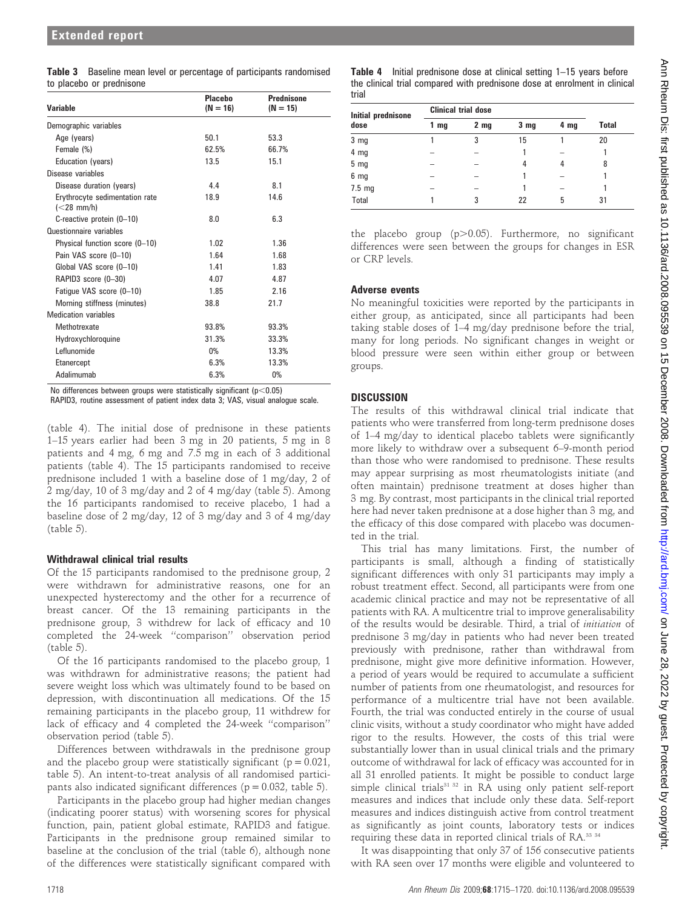| <b>Table 3</b> Baseline mean level or percentage of participants randomised |
|-----------------------------------------------------------------------------|
| to placebo or prednisone                                                    |

| <b>Variable</b>                                               | <b>Placebo</b><br>$(N = 16)$ | <b>Prednisone</b><br>$(N = 15)$ |
|---------------------------------------------------------------|------------------------------|---------------------------------|
| Demographic variables                                         |                              |                                 |
| Age (years)                                                   | 50.1                         | 53.3                            |
| Female (%)                                                    | 62.5%                        | 66.7%                           |
| Education (years)                                             | 13.5                         | 15.1                            |
| Disease variables                                             |                              |                                 |
| Disease duration (years)                                      | 4.4                          | 8.1                             |
| Erythrocyte sedimentation rate<br>$\left( < 28 \right)$ mm/h) | 18.9                         | 14.6                            |
| C-reactive protein (0-10)                                     | 8.0                          | 6.3                             |
| Questionnaire variables                                       |                              |                                 |
| Physical function score (0-10)                                | 1.02                         | 1.36                            |
| Pain VAS score (0-10)                                         | 1.64                         | 1.68                            |
| Global VAS score (0-10)                                       | 1.41                         | 1.83                            |
| RAPID3 score (0-30)                                           | 4.07                         | 4.87                            |
| Fatigue VAS score (0-10)                                      | 1.85                         | 2.16                            |
| Morning stiffness (minutes)                                   | 38.8                         | 21.7                            |
| <b>Medication variables</b>                                   |                              |                                 |
| Methotrexate                                                  | 93.8%                        | 93.3%                           |
| Hydroxychloroquine                                            | 31.3%                        | 33.3%                           |
| Leflunomide                                                   | $0\%$                        | 13.3%                           |
| Etanercept                                                    | 6.3%                         | 13.3%                           |
| Adalimumab                                                    | 6.3%                         | 0%                              |

No differences between groups were statistically significant ( $p$ <0.05)

RAPID3, routine assessment of patient index data 3; VAS, visual analogue scale.

(table 4). The initial dose of prednisone in these patients 1–15 years earlier had been 3 mg in 20 patients, 5 mg in 8 patients and 4 mg, 6 mg and 7.5 mg in each of 3 additional patients (table 4). The 15 participants randomised to receive prednisone included 1 with a baseline dose of 1 mg/day, 2 of 2 mg/day, 10 of 3 mg/day and 2 of 4 mg/day (table 5). Among the 16 participants randomised to receive placebo, 1 had a baseline dose of 2 mg/day, 12 of 3 mg/day and 3 of 4 mg/day (table 5).

## Withdrawal clinical trial results

Of the 15 participants randomised to the prednisone group, 2 were withdrawn for administrative reasons, one for an unexpected hysterectomy and the other for a recurrence of breast cancer. Of the 13 remaining participants in the prednisone group, 3 withdrew for lack of efficacy and 10 completed the 24-week ''comparison'' observation period (table 5).

Of the 16 participants randomised to the placebo group, 1 was withdrawn for administrative reasons; the patient had severe weight loss which was ultimately found to be based on depression, with discontinuation all medications. Of the 15 remaining participants in the placebo group, 11 withdrew for lack of efficacy and 4 completed the 24-week ''comparison'' observation period (table 5).

Differences between withdrawals in the prednisone group and the placebo group were statistically significant ( $p = 0.021$ , table 5). An intent-to-treat analysis of all randomised participants also indicated significant differences ( $p = 0.032$ , table 5).

Participants in the placebo group had higher median changes (indicating poorer status) with worsening scores for physical function, pain, patient global estimate, RAPID3 and fatigue. Participants in the prednisone group remained similar to baseline at the conclusion of the trial (table 6), although none of the differences were statistically significant compared with

Table 4 Initial prednisone dose at clinical setting 1–15 years before the clinical trial compared with prednisone dose at enrolment in clinical trial

| Initial prednisone | <b>Clinical trial dose</b> |                 |                 |      |              |  |
|--------------------|----------------------------|-----------------|-----------------|------|--------------|--|
| dose               | 1 <sub>mg</sub>            | 2 <sub>mg</sub> | 3 <sub>mg</sub> | 4 mg | <b>Total</b> |  |
| 3 <sub>mg</sub>    |                            | 3               | 15              |      | 20           |  |
| 4 <sub>mg</sub>    |                            |                 |                 |      |              |  |
| 5 <sub>mg</sub>    |                            |                 | 4               | 4    | 8            |  |
| 6 <sub>mg</sub>    |                            |                 |                 |      |              |  |
| $7.5 \text{ mg}$   |                            |                 |                 |      |              |  |
| <b>Total</b>       |                            | 3               | 22              | 5    | 31           |  |

the placebo group  $(p>0.05)$ . Furthermore, no significant differences were seen between the groups for changes in ESR or CRP levels.

## Adverse events

No meaningful toxicities were reported by the participants in either group, as anticipated, since all participants had been taking stable doses of 1–4 mg/day prednisone before the trial, many for long periods. No significant changes in weight or blood pressure were seen within either group or between groups.

## **DISCUSSION**

The results of this withdrawal clinical trial indicate that patients who were transferred from long-term prednisone doses of 1–4 mg/day to identical placebo tablets were significantly more likely to withdraw over a subsequent 6–9-month period than those who were randomised to prednisone. These results may appear surprising as most rheumatologists initiate (and often maintain) prednisone treatment at doses higher than 3 mg. By contrast, most participants in the clinical trial reported here had never taken prednisone at a dose higher than 3 mg, and the efficacy of this dose compared with placebo was documented in the trial.

This trial has many limitations. First, the number of participants is small, although a finding of statistically significant differences with only 31 participants may imply a robust treatment effect. Second, all participants were from one academic clinical practice and may not be representative of all patients with RA. A multicentre trial to improve generalisability of the results would be desirable. Third, a trial of initiation of prednisone 3 mg/day in patients who had never been treated previously with prednisone, rather than withdrawal from prednisone, might give more definitive information. However, a period of years would be required to accumulate a sufficient number of patients from one rheumatologist, and resources for performance of a multicentre trial have not been available. Fourth, the trial was conducted entirely in the course of usual clinic visits, without a study coordinator who might have added rigor to the results. However, the costs of this trial were substantially lower than in usual clinical trials and the primary outcome of withdrawal for lack of efficacy was accounted for in all 31 enrolled patients. It might be possible to conduct large simple clinical trials<sup>31 32</sup> in RA using only patient self-report measures and indices that include only these data. Self-report measures and indices distinguish active from control treatment as significantly as joint counts, laboratory tests or indices requiring these data in reported clinical trials of RA.<sup>33 34</sup>

It was disappointing that only 37 of 156 consecutive patients with RA seen over 17 months were eligible and volunteered to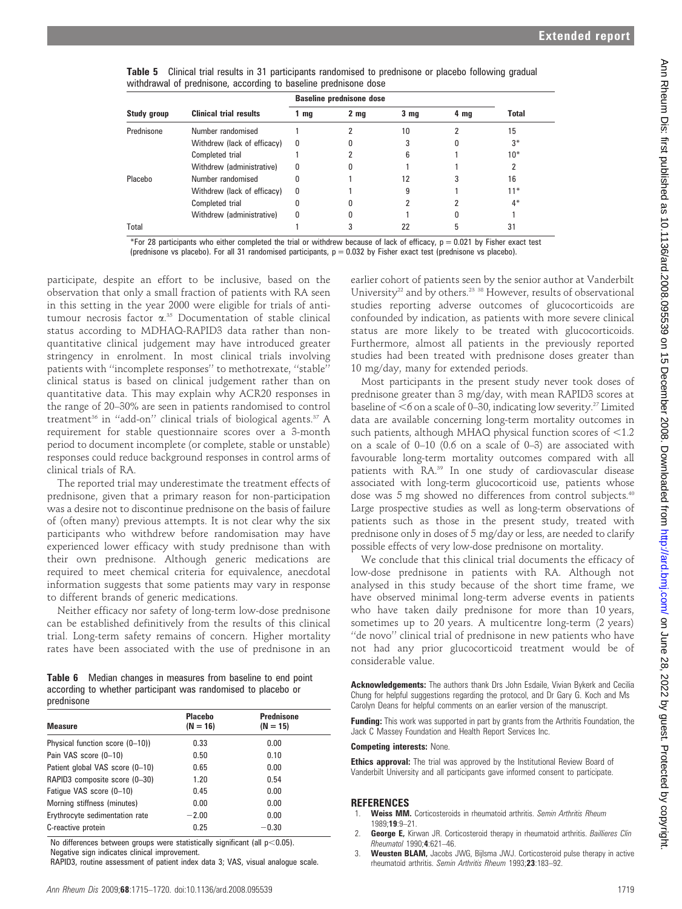| Table 5 Clinical trial results in 31 participants randomised to prednisone or placebo following gradual |  |  |  |
|---------------------------------------------------------------------------------------------------------|--|--|--|
| withdrawal of prednisone, according to baseline prednisone dose                                         |  |  |  |

|             |                               | <b>Baseline prednisone dose</b> |                 |                 |      |              |
|-------------|-------------------------------|---------------------------------|-----------------|-----------------|------|--------------|
| Study group | <b>Clinical trial results</b> | $1 \, \text{mg}$                | 2 <sub>mg</sub> | 3 <sub>mg</sub> | 4 mg | <b>Total</b> |
| Prednisone  | Number randomised             |                                 |                 | 10              |      | 15           |
|             | Withdrew (lack of efficacy)   | 0                               |                 |                 |      | $3*$         |
|             | Completed trial               |                                 |                 | 6               |      | $10*$        |
|             | Withdrew (administrative)     | 0                               |                 |                 |      | 2            |
| Placebo     | Number randomised             |                                 |                 | 12              |      | 16           |
|             | Withdrew (lack of efficacy)   | 0                               |                 | g               |      | $11*$        |
|             | Completed trial               |                                 |                 |                 |      | 4*           |
|             | Withdrew (administrative)     | 0                               |                 |                 |      |              |
| Total       |                               |                                 |                 | 22              |      | 31           |

\*For 28 participants who either completed the trial or withdrew because of lack of efficacy,  $p = 0.021$  by Fisher exact test (prednisone vs placebo). For all 31 randomised participants,  $p = 0.032$  by Fisher exact test (prednisone vs placebo).

participate, despite an effort to be inclusive, based on the observation that only a small fraction of patients with RA seen in this setting in the year 2000 were eligible for trials of antitumour necrosis factor a. <sup>35</sup> Documentation of stable clinical status according to MDHAQ-RAPID3 data rather than nonquantitative clinical judgement may have introduced greater stringency in enrolment. In most clinical trials involving patients with ''incomplete responses'' to methotrexate, ''stable'' clinical status is based on clinical judgement rather than on quantitative data. This may explain why ACR20 responses in the range of 20–30% are seen in patients randomised to control treatment<sup>36</sup> in "add-on" clinical trials of biological agents.<sup>37</sup> A requirement for stable questionnaire scores over a 3-month period to document incomplete (or complete, stable or unstable) responses could reduce background responses in control arms of clinical trials of RA.

The reported trial may underestimate the treatment effects of prednisone, given that a primary reason for non-participation was a desire not to discontinue prednisone on the basis of failure of (often many) previous attempts. It is not clear why the six participants who withdrew before randomisation may have experienced lower efficacy with study prednisone than with their own prednisone. Although generic medications are required to meet chemical criteria for equivalence, anecdotal information suggests that some patients may vary in response to different brands of generic medications.

Neither efficacy nor safety of long-term low-dose prednisone can be established definitively from the results of this clinical trial. Long-term safety remains of concern. Higher mortality rates have been associated with the use of prednisone in an

Table 6 Median changes in measures from baseline to end point according to whether participant was randomised to placebo or prednisone

| <b>Measure</b>                  | <b>Placebo</b><br>$(N = 16)$ | <b>Prednisone</b><br>$(N = 15)$ |
|---------------------------------|------------------------------|---------------------------------|
| Physical function score (0–10)) | 0.33                         | 0.00                            |
| Pain VAS score (0-10)           | 0.50                         | 0.10                            |
| Patient global VAS score (0-10) | 0.65                         | 0.00                            |
| RAPID3 composite score (0-30)   | 1.20                         | 0.54                            |
| Fatigue VAS score (0-10)        | 0.45                         | 0.00                            |
| Morning stiffness (minutes)     | 0.00                         | 0.00                            |
| Erythrocyte sedimentation rate  | $-2.00$                      | 0.00                            |
| C-reactive protein              | 0.25                         | $-0.30$                         |
|                                 |                              |                                 |

No differences between groups were statistically significant (all  $p<0.05$ ).

Negative sign indicates clinical improvement.

RAPID3, routine assessment of patient index data 3; VAS, visual analogue scale.

earlier cohort of patients seen by the senior author at Vanderbilt University<sup>22</sup> and by others.<sup>23</sup>  $38$  However, results of observational studies reporting adverse outcomes of glucocorticoids are confounded by indication, as patients with more severe clinical status are more likely to be treated with glucocorticoids. Furthermore, almost all patients in the previously reported studies had been treated with prednisone doses greater than 10 mg/day, many for extended periods.

Most participants in the present study never took doses of prednisone greater than 3 mg/day, with mean RAPID3 scores at baseline of  $<$ 6 on a scale of 0–30, indicating low severity.<sup>27</sup> Limited data are available concerning long-term mortality outcomes in such patients, although MHAQ physical function scores of  $<$ 1.2 on a scale of 0–10 (0.6 on a scale of 0–3) are associated with favourable long-term mortality outcomes compared with all patients with RA.39 In one study of cardiovascular disease associated with long-term glucocorticoid use, patients whose dose was 5 mg showed no differences from control subjects.<sup>40</sup> Large prospective studies as well as long-term observations of patients such as those in the present study, treated with prednisone only in doses of 5 mg/day or less, are needed to clarify possible effects of very low-dose prednisone on mortality.

We conclude that this clinical trial documents the efficacy of low-dose prednisone in patients with RA. Although not analysed in this study because of the short time frame, we have observed minimal long-term adverse events in patients who have taken daily prednisone for more than 10 years, sometimes up to 20 years. A multicentre long-term (2 years) ''de novo'' clinical trial of prednisone in new patients who have not had any prior glucocorticoid treatment would be of considerable value.

Acknowledgements: The authors thank Drs John Esdaile, Vivian Bykerk and Cecilia Chung for helpful suggestions regarding the protocol, and Dr Gary G. Koch and Ms Carolyn Deans for helpful comments on an earlier version of the manuscript.

Funding: This work was supported in part by grants from the Arthritis Foundation, the Jack C Massey Foundation and Health Report Services Inc.

#### Competing interests: None.

**Ethics approval:** The trial was approved by the Institutional Review Board of Vanderbilt University and all participants gave informed consent to participate.

## REFERENCES

- Weiss MM. Corticosteroids in rheumatoid arthritis. Semin Arthritis Rheum 1989;19:9–21.
- 2. George E, Kirwan JR. Corticosteroid therapy in rheumatoid arthritis. Baillieres Clin Rheumatol 1990;4:621–46.
- Weusten BLAM, Jacobs JWG, Bijlsma JWJ. Corticosteroid pulse therapy in active rheumatoid arthritis. Semin Arthritis Rheum 1993;23:183–92.